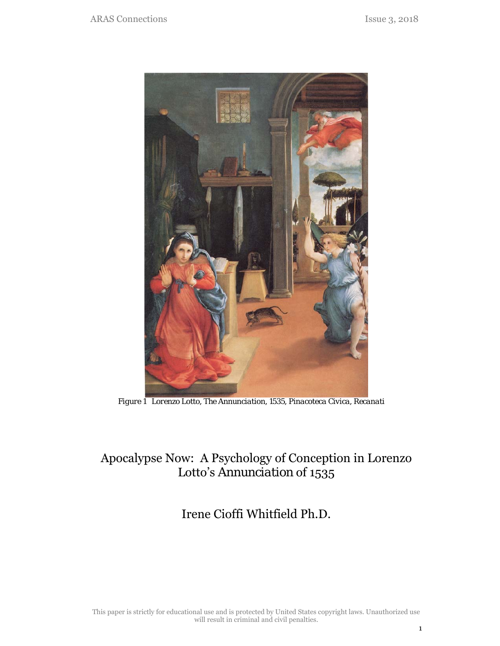

*Figure 1 Lorenzo Lotto, The Annunciation, 1535, Pinacoteca Civica, Recanati* 

# Apocalypse Now: A Psychology of Conception in Lorenzo Lotto's *Annunciation* of 1535

## Irene Cioffi Whitfield Ph.D.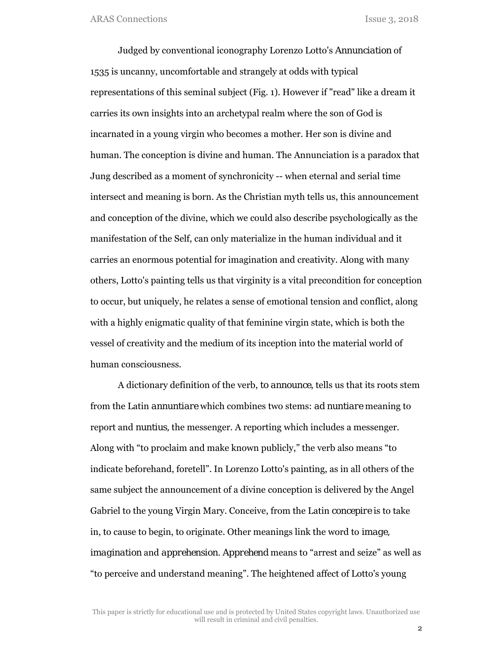Judged by conventional iconography Lorenzo Lotto's *Annunciation* of 1535 is uncanny, uncomfortable and strangely at odds with typical representations of this seminal subject (Fig. 1). However if "read" like a dream it carries its own insights into an archetypal realm where the son of God is incarnated in a young virgin who becomes a mother. Her son is divine and human. The conception is divine and human. The Annunciation is a paradox that Jung described as a moment of synchronicity -- when eternal and serial time intersect and meaning is born. As the Christian myth tells us, this announcement and conception of the divine, which we could also describe psychologically as the manifestation of the Self, can only materialize in the human individual and it carries an enormous potential for imagination and creativity. Along with many others, Lotto's painting tells us that virginity is a vital precondition for conception to occur, but uniquely, he relates a sense of emotional tension and conflict, along with a highly enigmatic quality of that feminine virgin state, which is both the vessel of creativity and the medium of its inception into the material world of human consciousness.

A dictionary definition of the verb, *to announce*, tells us that its roots stem from the Latin *annuntiare* which combines two stems: *ad nuntiare* meaning to report and *nuntius,* the messenger. A reporting which includes a messenger. Along with "to proclaim and make known publicly," the verb also means "to indicate beforehand, foretell". In Lorenzo Lotto's painting, as in all others of the same subject the announcement of a divine conception is delivered by the Angel Gabriel to the young Virgin Mary. Conceive, from the Latin *concepire* is to take in, to cause to begin, to originate. Other meanings link the word to *image, imagination* and *apprehension. Apprehend* means to "arrest and seize" as well as "to perceive and understand meaning". The heightened affect of Lotto's young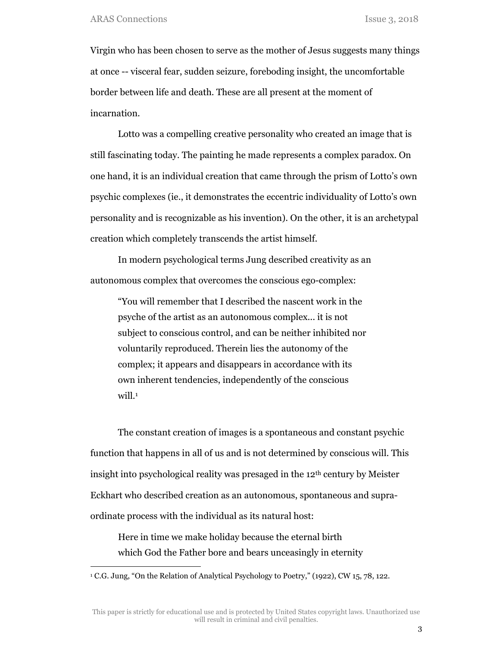Virgin who has been chosen to serve as the mother of Jesus suggests many things at once -- visceral fear, sudden seizure, foreboding insight, the uncomfortable border between life and death. These are all present at the moment of incarnation.

Lotto was a compelling creative personality who created an image that is still fascinating today. The painting he made represents a complex paradox. On one hand, it is an individual creation that came through the prism of Lotto's own psychic complexes (ie., it demonstrates the eccentric individuality of Lotto's own personality and is recognizable as his invention). On the other, it is an archetypal creation which completely transcends the artist himself.

In modern psychological terms Jung described creativity as an autonomous complex that overcomes the conscious ego-complex:

"You will remember that I described the nascent work in the psyche of the artist as an autonomous complex... it is not subject to conscious control, and can be neither inhibited nor voluntarily reproduced. Therein lies the autonomy of the complex; it appears and disappears in accordance with its own inherent tendencies, independently of the conscious will.<sup>1</sup>

The constant creation of images is a spontaneous and constant psychic function that happens in all of us and is not determined by conscious will. This insight into psychological reality was presaged in the 12th century by Meister Eckhart who described creation as an autonomous, spontaneous and supraordinate process with the individual as its natural host:

Here in time we make holiday because the eternal birth which God the Father bore and bears unceasingly in eternity

<sup>1</sup> C.G. Jung, "On the Relation of Analytical Psychology to Poetry," (1922), CW 15, 78, 122.

This paper is strictly for educational use and is protected by United States copyright laws. Unauthorized use will result in criminal and civil penalties.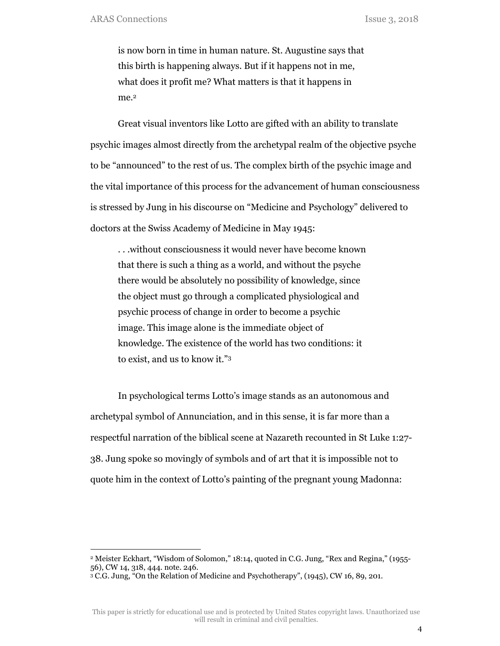is now born in time in human nature. St. Augustine says that this birth is happening always. But if it happens not in me, what does it profit me? What matters is that it happens in me.<sup>2</sup>

Great visual inventors like Lotto are gifted with an ability to translate psychic images almost directly from the archetypal realm of the objective psyche to be "announced" to the rest of us. The complex birth of the psychic image and the vital importance of this process for the advancement of human consciousness is stressed by Jung in his discourse on "Medicine and Psychology" delivered to doctors at the Swiss Academy of Medicine in May 1945:

. . .without consciousness it would never have become known that there is such a thing as a world, and without the psyche there would be absolutely no possibility of knowledge, since the object must go through a complicated physiological and psychic process of change in order to become a psychic image. This image alone is the immediate object of knowledge. The existence of the world has two conditions: it to exist, and us to know it."3

In psychological terms Lotto's image stands as an autonomous and archetypal symbol of Annunciation, and in this sense, it is far more than a respectful narration of the biblical scene at Nazareth recounted in St Luke 1:27- 38. Jung spoke so movingly of symbols and of art that it is impossible not to quote him in the context of Lotto's painting of the pregnant young Madonna:

<sup>2</sup> Meister Eckhart, "Wisdom of Solomon," 18:14, quoted in C.G. Jung, "Rex and Regina," (1955- 56), CW 14, 318, 444. note. 246.

<sup>3</sup> C.G. Jung, "On the Relation of Medicine and Psychotherapy", (1945), CW 16, 89, 201.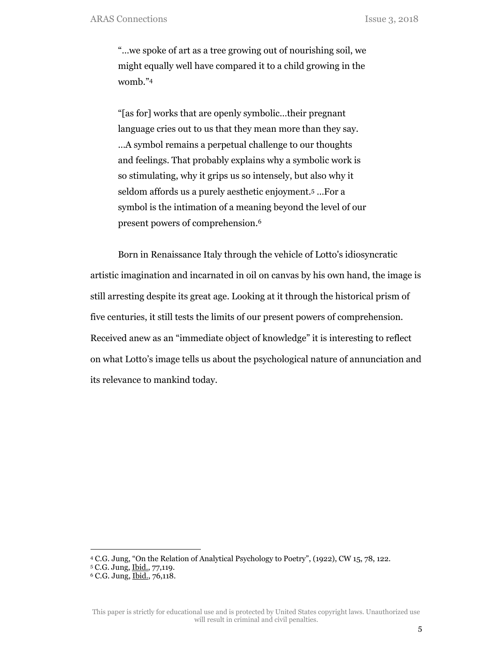"…we spoke of art as a tree growing out of nourishing soil, we might equally well have compared it to a child growing in the womb."4

"[as for] works that are openly symbolic…their pregnant language cries out to us that they mean more than they say. …A symbol remains a perpetual challenge to our thoughts and feelings. That probably explains why a symbolic work is so stimulating, why it grips us so intensely, but also why it seldom affords us a purely aesthetic enjoyment.5 …For a symbol is the intimation of a meaning beyond the level of our present powers of comprehension.6

Born in Renaissance Italy through the vehicle of Lotto's idiosyncratic artistic imagination and incarnated in oil on canvas by his own hand, the image is still arresting despite its great age. Looking at it through the historical prism of five centuries, it still tests the limits of our present powers of comprehension. Received anew as an "immediate object of knowledge" it is interesting to reflect on what Lotto's image tells us about the psychological nature of annunciation and its relevance to mankind today.

<sup>4</sup> C.G. Jung, "On the Relation of Analytical Psychology to Poetry", (1922), CW 15, 78, 122.

<sup>5</sup> C.G. Jung, Ibid., 77,119.

<sup>6</sup> C.G. Jung, Ibid., 76,118.

This paper is strictly for educational use and is protected by United States copyright laws. Unauthorized use will result in criminal and civil penalties.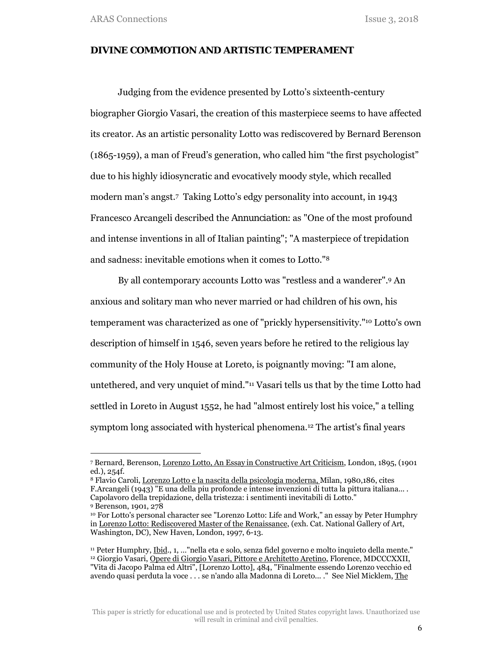#### *DIVINE COMMOTION* **AND ARTISTIC TEMPERAMENT**

Judging from the evidence presented by Lotto's sixteenth-century biographer Giorgio Vasari, the creation of this masterpiece seems to have affected its creator. As an artistic personality Lotto was rediscovered by Bernard Berenson (1865-1959), a man of Freud's generation, who called him "the first psychologist" due to his highly idiosyncratic and evocatively moody style, which recalled modern man's angst.7 Taking Lotto's edgy personality into account, in 1943 Francesco Arcangeli described the *Annunciation*: as "One of the most profound and intense inventions in all of Italian painting"; "A masterpiece of trepidation and sadness: inevitable emotions when it comes to Lotto."8

By all contemporary accounts Lotto was "restless and a wanderer".9 An anxious and solitary man who never married or had children of his own, his temperament was characterized as one of "prickly hypersensitivity."10 Lotto's own description of himself in 1546, seven years before he retired to the religious lay community of the Holy House at Loreto, is poignantly moving: "I am alone, untethered, and very unquiet of mind."11 Vasari tells us that by the time Lotto had settled in Loreto in August 1552, he had "almost entirely lost his voice," a telling symptom long associated with hysterical phenomena.12 The artist's final years

<sup>7</sup> Bernard, Berenson, Lorenzo Lotto, An Essay in Constructive Art Criticism, London, 1895, (1901 ed.), 254f.

<sup>8</sup> Flavio Caroli, Lorenzo Lotto e la nascita della psicologia moderna, Milan, 1980,186, cites F.Arcangeli (1943) "E una della piu profonde e intense invenzioni di tutta la pittura italiana... . Capolavoro della trepidazione, della tristezza: i sentimenti inevitabili di Lotto." 9 Berenson, 1901, 278

<sup>10</sup> For Lotto's personal character see "Lorenzo Lotto: Life and Work," an essay by Peter Humphry in Lorenzo Lotto: Rediscovered Master of the Renaissance, (exh. Cat. National Gallery of Art, Washington, DC), New Haven, London, 1997, 6-13.

<sup>11</sup> Peter Humphry, Ibid., 1, …"nella eta e solo, senza fidel governo e molto inquieto della mente." 12 Giorgio Vasari, Opere di Giorgio Vasari, Pittore e Architetto Aretino, Florence, MDCCCXXII, "Vita di Jacopo Palma ed Altri", [Lorenzo Lotto], 484, "Finalmente essendo Lorenzo vecchio ed avendo quasi perduta la voce . . . se n'ando alla Madonna di Loreto... ." See Niel Micklem, The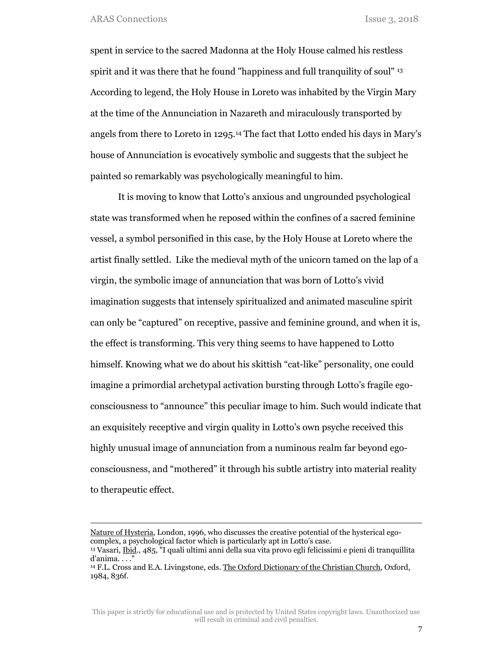spent in service to the sacred Madonna at the Holy House calmed his restless spirit and it was there that he found "happiness and full tranquility of soul" 13 According to legend, the Holy House in Loreto was inhabited by the Virgin Mary at the time of the Annunciation in Nazareth and miraculously transported by angels from there to Loreto in 1295.14 The fact that Lotto ended his days in Mary's house of Annunciation is evocatively symbolic and suggests that the subject he painted so remarkably was psychologically meaningful to him.

It is moving to know that Lotto's anxious and ungrounded psychological state was transformed when he reposed within the confines of a sacred feminine vessel, a symbol personified in this case, by the Holy House at Loreto where the artist finally settled. Like the medieval myth of the unicorn tamed on the lap of a virgin, the symbolic image of annunciation that was born of Lotto's vivid imagination suggests that intensely spiritualized and animated masculine spirit can only be "captured" on receptive, passive and feminine ground, and when it is, the effect is transforming. This very thing seems to have happened to Lotto himself. Knowing what we do about his skittish "cat-like" personality, one could imagine a primordial archetypal activation bursting through Lotto's fragile egoconsciousness to "announce" this peculiar image to him. Such would indicate that an exquisitely receptive and virgin quality in Lotto's own psyche received this highly unusual image of annunciation from a numinous realm far beyond egoconsciousness, and "mothered" it through his subtle artistry into material reality to therapeutic effect.

Nature of Hysteria, London, 1996, who discusses the creative potential of the hysterical egocomplex, a psychological factor which is particularly apt in Lotto's case.

<sup>&</sup>lt;sup>13</sup> Vasari, Ibid., 485, <sup>"</sup>I quali ultimi anni della sua vita provo egli felicissimi e pieni di tranquillita d'anima. . . ."

<sup>14</sup> F.L. Cross and E.A. Livingstone, eds. The Oxford Dictionary of the Christian Church, Oxford, 1984, 836f.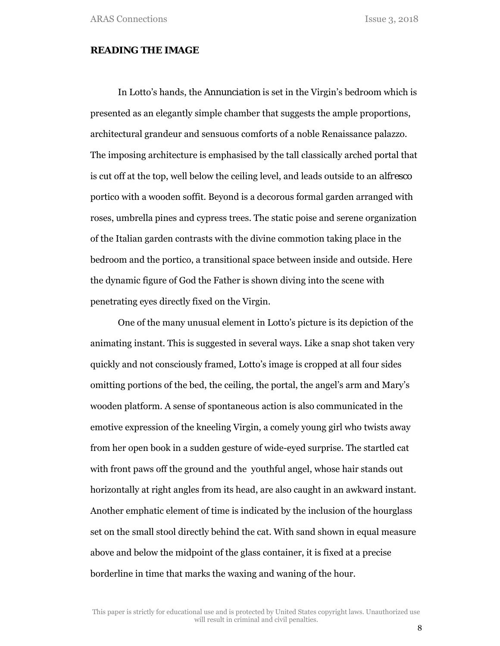#### **READING THE IMAGE**

In Lotto's hands, the *Annunciation* is set in the Virgin's bedroom which is presented as an elegantly simple chamber that suggests the ample proportions, architectural grandeur and sensuous comforts of a noble Renaissance palazzo. The imposing architecture is emphasised by the tall classically arched portal that is cut off at the top, well below the ceiling level, and leads outside to an *alfresco* portico with a wooden soffit. Beyond is a decorous formal garden arranged with roses, umbrella pines and cypress trees. The static poise and serene organization of the Italian garden contrasts with the divine commotion taking place in the bedroom and the portico, a transitional space between inside and outside. Here the dynamic figure of God the Father is shown diving into the scene with penetrating eyes directly fixed on the Virgin.

One of the many unusual element in Lotto's picture is its depiction of the animating instant. This is suggested in several ways. Like a snap shot taken very quickly and not consciously framed, Lotto's image is cropped at all four sides omitting portions of the bed, the ceiling, the portal, the angel's arm and Mary's wooden platform. A sense of spontaneous action is also communicated in the emotive expression of the kneeling Virgin, a comely young girl who twists away from her open book in a sudden gesture of wide-eyed surprise. The startled cat with front paws off the ground and the youthful angel, whose hair stands out horizontally at right angles from its head, are also caught in an awkward instant. Another emphatic element of time is indicated by the inclusion of the hourglass set on the small stool directly behind the cat. With sand shown in equal measure above and below the midpoint of the glass container, it is fixed at a precise borderline in time that marks the waxing and waning of the hour.

This paper is strictly for educational use and is protected by United States copyright laws. Unauthorized use will result in criminal and civil penalties.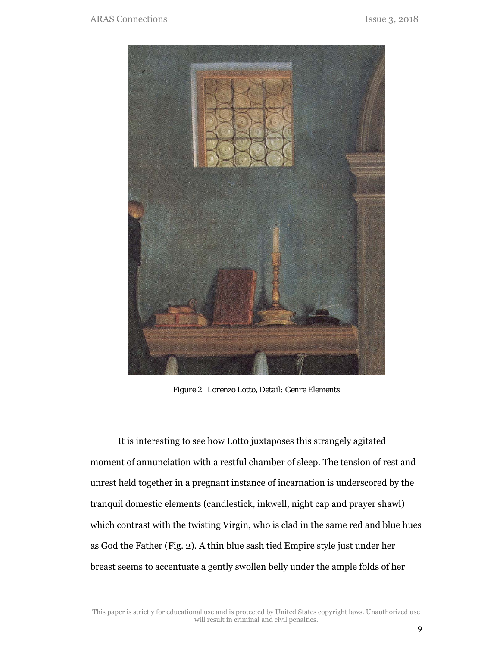

*Figure 2 Lorenzo Lotto, Detail: Genre Elements* 

It is interesting to see how Lotto juxtaposes this strangely agitated moment of annunciation with a restful chamber of sleep. The tension of rest and unrest held together in a pregnant instance of incarnation is underscored by the tranquil domestic elements (candlestick, inkwell, night cap and prayer shawl) which contrast with the twisting Virgin, who is clad in the same red and blue hues as God the Father (Fig. 2). A thin blue sash tied Empire style just under her breast seems to accentuate a gently swollen belly under the ample folds of her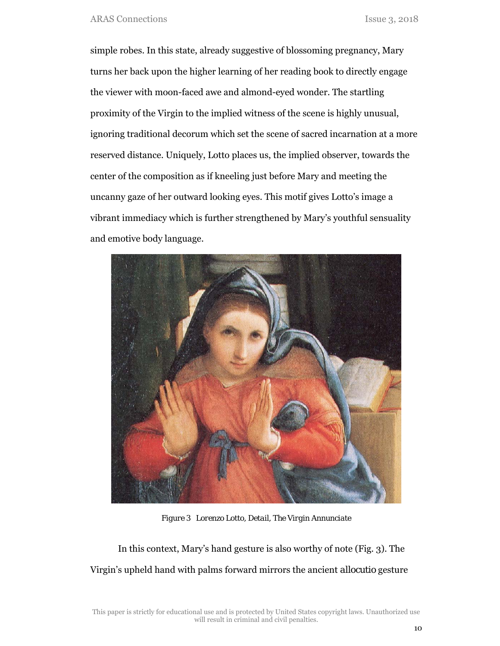simple robes. In this state, already suggestive of blossoming pregnancy, Mary turns her back upon the higher learning of her reading book to directly engage the viewer with moon-faced awe and almond-eyed wonder. The startling proximity of the Virgin to the implied witness of the scene is highly unusual, ignoring traditional decorum which set the scene of sacred incarnation at a more reserved distance. Uniquely, Lotto places us, the implied observer, towards the center of the composition as if kneeling just before Mary and meeting the uncanny gaze of her outward looking eyes. This motif gives Lotto's image a vibrant immediacy which is further strengthened by Mary's youthful sensuality and emotive body language.



*Figure 3 Lorenzo Lotto, Detail, The Virgin Annunciate* 

In this context, Mary's hand gesture is also worthy of note (Fig. 3). The Virgin's upheld hand with palms forward mirrors the ancient *allocutio* gesture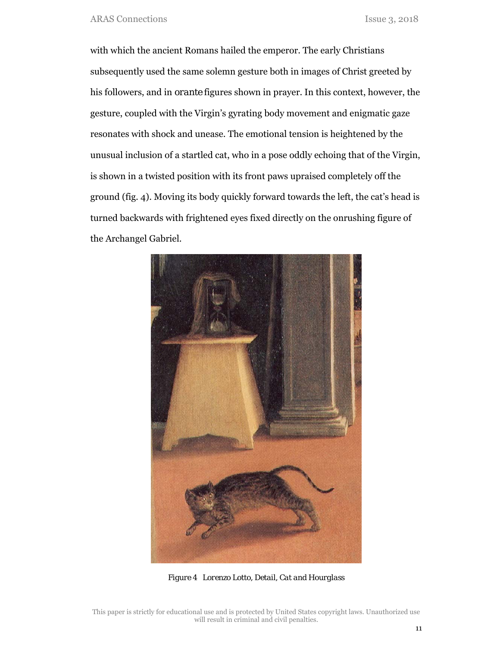with which the ancient Romans hailed the emperor. The early Christians subsequently used the same solemn gesture both in images of Christ greeted by his followers, and in *orante* figures shown in prayer. In this context, however, the gesture, coupled with the Virgin's gyrating body movement and enigmatic gaze resonates with shock and unease. The emotional tension is heightened by the unusual inclusion of a startled cat, who in a pose oddly echoing that of the Virgin, is shown in a twisted position with its front paws upraised completely off the ground (fig. 4). Moving its body quickly forward towards the left, the cat's head is turned backwards with frightened eyes fixed directly on the onrushing figure of the Archangel Gabriel.



*Figure 4 Lorenzo Lotto, Detail, Cat and Hourglass* 

This paper is strictly for educational use and is protected by United States copyright laws. Unauthorized use will result in criminal and civil penalties.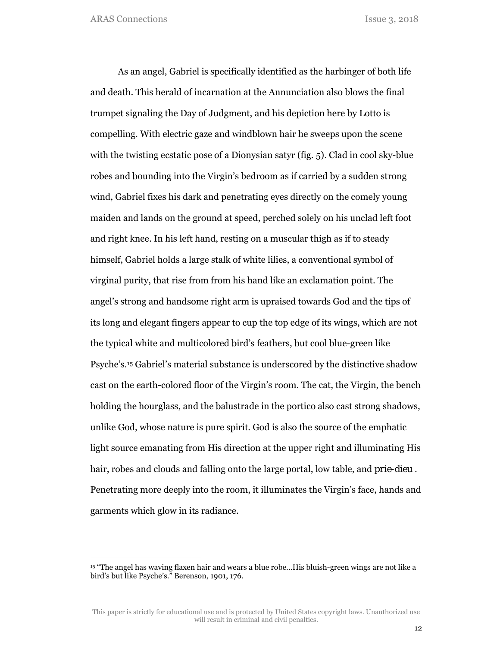As an angel, Gabriel is specifically identified as the harbinger of both life and death. This herald of incarnation at the Annunciation also blows the final trumpet signaling the Day of Judgment, and his depiction here by Lotto is compelling. With electric gaze and windblown hair he sweeps upon the scene with the twisting ecstatic pose of a Dionysian satyr (fig. 5). Clad in cool sky-blue robes and bounding into the Virgin's bedroom as if carried by a sudden strong wind, Gabriel fixes his dark and penetrating eyes directly on the comely young maiden and lands on the ground at speed, perched solely on his unclad left foot and right knee. In his left hand, resting on a muscular thigh as if to steady himself, Gabriel holds a large stalk of white lilies, a conventional symbol of virginal purity, that rise from from his hand like an exclamation point. The angel's strong and handsome right arm is upraised towards God and the tips of its long and elegant fingers appear to cup the top edge of its wings, which are not the typical white and multicolored bird's feathers, but cool blue-green like Psyche's.15 Gabriel's material substance is underscored by the distinctive shadow cast on the earth-colored floor of the Virgin's room. The cat, the Virgin, the bench holding the hourglass, and the balustrade in the portico also cast strong shadows, unlike God, whose nature is pure spirit. God is also the source of the emphatic light source emanating from His direction at the upper right and illuminating His hair, robes and clouds and falling onto the large portal, low table, and *prie-dieu .* Penetrating more deeply into the room, it illuminates the Virgin's face, hands and garments which glow in its radiance.

<sup>15 &</sup>quot;The angel has waving flaxen hair and wears a blue robe...His bluish-green wings are not like a bird's but like Psyche's." Berenson, 1901, 176.

This paper is strictly for educational use and is protected by United States copyright laws. Unauthorized use will result in criminal and civil penalties.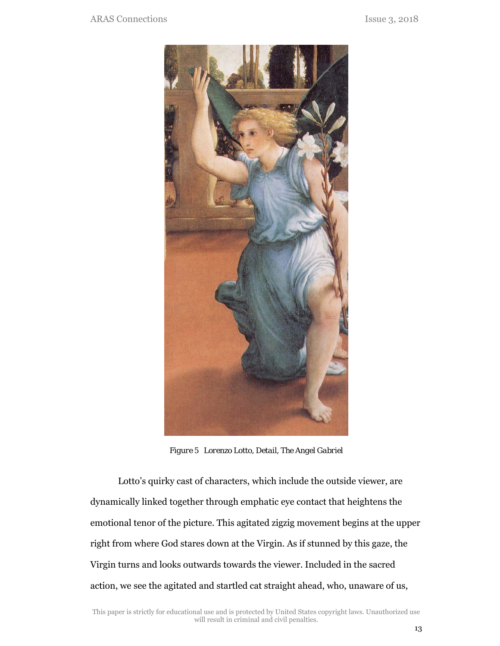

*Figure 5 Lorenzo Lotto, Detail, The Angel Gabriel* 

Lotto's quirky cast of characters, which include the outside viewer, are dynamically linked together through emphatic eye contact that heightens the emotional tenor of the picture. This agitated zigzig movement begins at the upper right from where God stares down at the Virgin. As if stunned by this gaze, the Virgin turns and looks outwards towards the viewer. Included in the sacred action, we see the agitated and startled cat straight ahead, who, unaware of us,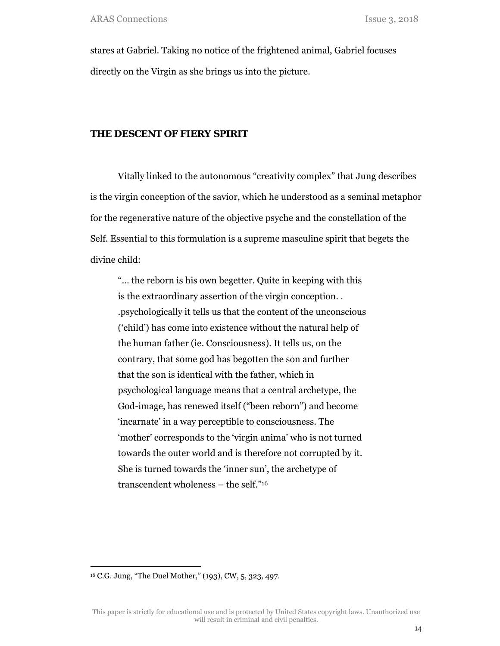stares at Gabriel. Taking no notice of the frightened animal, Gabriel focuses directly on the Virgin as she brings us into the picture.

## **THE DESCENT OF FIERY SPIRIT**

Vitally linked to the autonomous "creativity complex" that Jung describes is the virgin conception of the savior, which he understood as a seminal metaphor for the regenerative nature of the objective psyche and the constellation of the Self. Essential to this formulation is a supreme masculine spirit that begets the divine child:

"… the reborn is his own begetter. Quite in keeping with this is the extraordinary assertion of the virgin conception. . .psychologically it tells us that the content of the unconscious ('child') has come into existence without the natural help of the human father (ie. Consciousness). It tells us, on the contrary, that some god has begotten the son and further that the son is identical with the father, which in psychological language means that a central archetype, the God-image, has renewed itself ("been reborn") and become 'incarnate' in a way perceptible to consciousness. The 'mother' corresponds to the 'virgin anima' who is not turned towards the outer world and is therefore not corrupted by it. She is turned towards the 'inner sun', the archetype of transcendent wholeness – the self."16

<sup>16</sup> C.G. Jung, "The Duel Mother," (193), CW, 5, 323, 497.

This paper is strictly for educational use and is protected by United States copyright laws. Unauthorized use will result in criminal and civil penalties.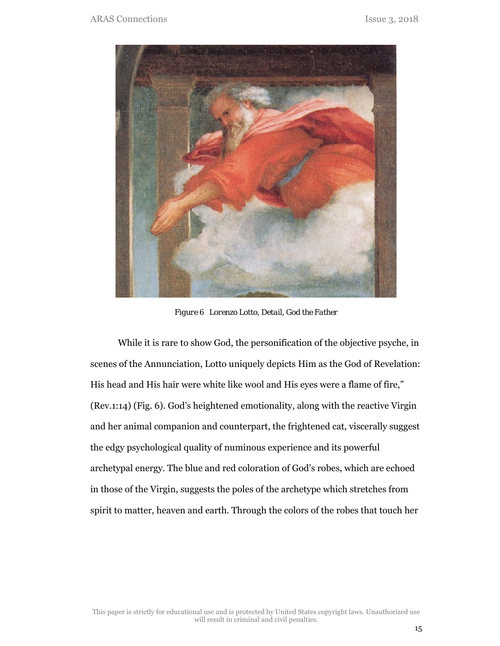

*Figure 6 Lorenzo Lotto, Detail, God the Father* 

While it is rare to show God, the personification of the objective psyche, in scenes of the Annunciation, Lotto uniquely depicts Him as the God of Revelation: His head and His hair were white like wool and His eyes were a flame of fire," (Rev.1:14) (Fig. 6). God's heightened emotionality, along with the reactive Virgin and her animal companion and counterpart, the frightened cat, viscerally suggest the edgy psychological quality of numinous experience and its powerful archetypal energy. The blue and red coloration of God's robes, which are echoed in those of the Virgin, suggests the poles of the archetype which stretches from spirit to matter, heaven and earth. Through the colors of the robes that touch her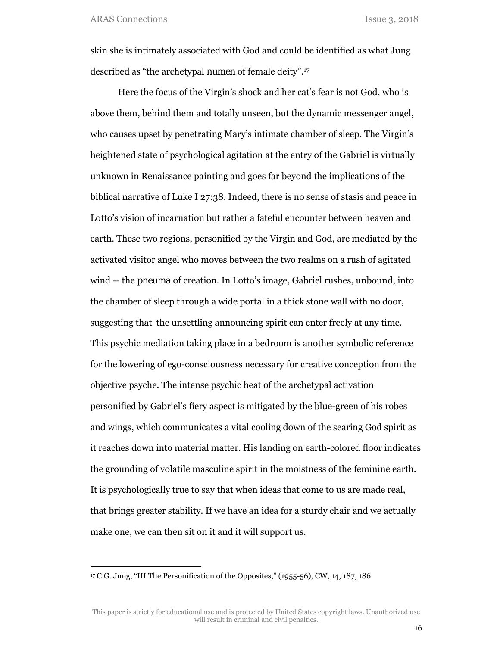skin she is intimately associated with God and could be identified as what Jung described as "the archetypal *numen* of female deity".17

Here the focus of the Virgin's shock and her cat's fear is not God, who is above them, behind them and totally unseen, but the dynamic messenger angel, who causes upset by penetrating Mary's intimate chamber of sleep. The Virgin's heightened state of psychological agitation at the entry of the Gabriel is virtually unknown in Renaissance painting and goes far beyond the implications of the biblical narrative of Luke I 27:38. Indeed, there is no sense of stasis and peace in Lotto's vision of incarnation but rather a fateful encounter between heaven and earth. These two regions, personified by the Virgin and God, are mediated by the activated visitor angel who moves between the two realms on a rush of agitated wind -- the *pneuma* of creation. In Lotto's image, Gabriel rushes, unbound, into the chamber of sleep through a wide portal in a thick stone wall with no door, suggesting that the unsettling announcing spirit can enter freely at any time. This psychic mediation taking place in a bedroom is another symbolic reference for the lowering of ego-consciousness necessary for creative conception from the objective psyche. The intense psychic heat of the archetypal activation personified by Gabriel's fiery aspect is mitigated by the blue-green of his robes and wings, which communicates a vital cooling down of the searing God spirit as it reaches down into material matter. His landing on earth-colored floor indicates the grounding of volatile masculine spirit in the moistness of the feminine earth. It is psychologically true to say that when ideas that come to us are made real, that brings greater stability. If we have an idea for a sturdy chair and we actually make one, we can then sit on it and it will support us.

<sup>17</sup> C.G. Jung, "III The Personification of the Opposites," (1955-56), CW, 14, 187, 186.

This paper is strictly for educational use and is protected by United States copyright laws. Unauthorized use will result in criminal and civil penalties.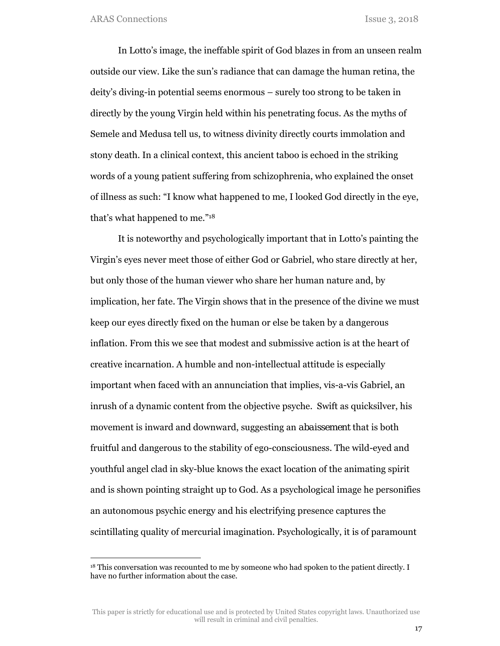In Lotto's image, the ineffable spirit of God blazes in from an unseen realm outside our view. Like the sun's radiance that can damage the human retina, the deity's diving-in potential seems enormous – surely too strong to be taken in directly by the young Virgin held within his penetrating focus. As the myths of Semele and Medusa tell us, to witness divinity directly courts immolation and stony death. In a clinical context, this ancient taboo is echoed in the striking words of a young patient suffering from schizophrenia, who explained the onset of illness as such: "I know what happened to me, I looked God directly in the eye, that's what happened to me."18

It is noteworthy and psychologically important that in Lotto's painting the Virgin's eyes never meet those of either God or Gabriel, who stare directly at her, but only those of the human viewer who share her human nature and, by implication, her fate. The Virgin shows that in the presence of the divine we must keep our eyes directly fixed on the human or else be taken by a dangerous inflation. From this we see that modest and submissive action is at the heart of creative incarnation. A humble and non-intellectual attitude is especially important when faced with an annunciation that implies, vis-a-vis Gabriel, an inrush of a dynamic content from the objective psyche. Swift as quicksilver, his movement is inward and downward, suggesting an *abaissement* that is both fruitful and dangerous to the stability of ego-consciousness. The wild-eyed and youthful angel clad in sky-blue knows the exact location of the animating spirit and is shown pointing straight up to God. As a psychological image he personifies an autonomous psychic energy and his electrifying presence captures the scintillating quality of mercurial imagination. Psychologically, it is of paramount

<sup>&</sup>lt;sup>18</sup> This conversation was recounted to me by someone who had spoken to the patient directly. I have no further information about the case.

This paper is strictly for educational use and is protected by United States copyright laws. Unauthorized use will result in criminal and civil penalties.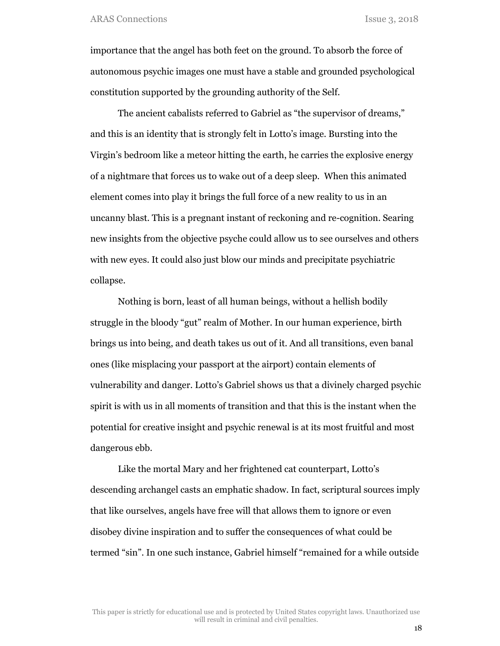importance that the angel has both feet on the ground. To absorb the force of autonomous psychic images one must have a stable and grounded psychological constitution supported by the grounding authority of the Self.

The ancient cabalists referred to Gabriel as "the supervisor of dreams," and this is an identity that is strongly felt in Lotto's image. Bursting into the Virgin's bedroom like a meteor hitting the earth, he carries the explosive energy of a nightmare that forces us to wake out of a deep sleep. When this animated element comes into play it brings the full force of a new reality to us in an uncanny blast. This is a pregnant instant of reckoning and re-cognition. Searing new insights from the objective psyche could allow us to see ourselves and others with new eyes. It could also just blow our minds and precipitate psychiatric collapse.

Nothing is born, least of all human beings, without a hellish bodily struggle in the bloody "gut" realm of Mother. In our human experience, birth brings us into being, and death takes us out of it. And all transitions, even banal ones (like misplacing your passport at the airport) contain elements of vulnerability and danger. Lotto's Gabriel shows us that a divinely charged psychic spirit is with us in all moments of transition and that this is the instant when the potential for creative insight and psychic renewal is at its most fruitful and most dangerous ebb.

Like the mortal Mary and her frightened cat counterpart, Lotto's descending archangel casts an emphatic shadow. In fact, scriptural sources imply that like ourselves, angels have free will that allows them to ignore or even disobey divine inspiration and to suffer the consequences of what could be termed "sin". In one such instance, Gabriel himself "remained for a while outside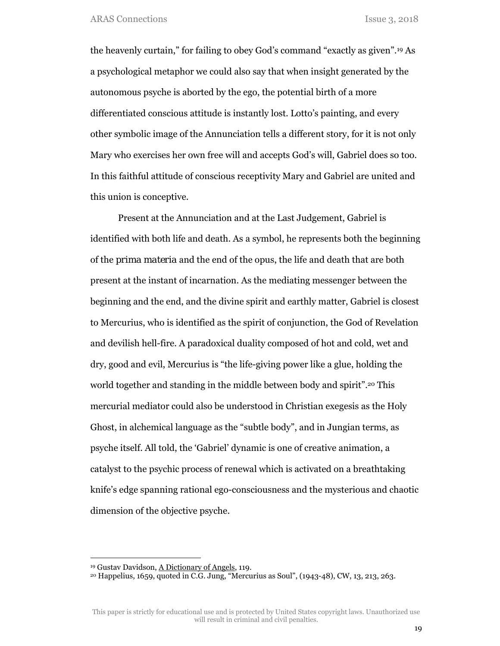the heavenly curtain," for failing to obey God's command "exactly as given".19 As a psychological metaphor we could also say that when insight generated by the autonomous psyche is aborted by the ego, the potential birth of a more differentiated conscious attitude is instantly lost. Lotto's painting, and every other symbolic image of the Annunciation tells a different story, for it is not only Mary who exercises her own free will and accepts God's will, Gabriel does so too. In this faithful attitude of conscious receptivity Mary and Gabriel are united and this union is conceptive.

Present at the Annunciation and at the Last Judgement, Gabriel is identified with both life and death. As a symbol, he represents both the beginning of the *prima materia* and the end of the opus, the life and death that are both present at the instant of incarnation. As the mediating messenger between the beginning and the end, and the divine spirit and earthly matter, Gabriel is closest to Mercurius, who is identified as the spirit of conjunction, the God of Revelation and devilish hell-fire. A paradoxical duality composed of hot and cold, wet and dry, good and evil, Mercurius is "the life-giving power like a glue, holding the world together and standing in the middle between body and spirit".20 This mercurial mediator could also be understood in Christian exegesis as the Holy Ghost, in alchemical language as the "subtle body", and in Jungian terms, as psyche itself. All told, the 'Gabriel' dynamic is one of creative animation, a catalyst to the psychic process of renewal which is activated on a breathtaking knife's edge spanning rational ego-consciousness and the mysterious and chaotic dimension of the objective psyche.

<sup>19</sup> Gustav Davidson, A Dictionary of Angels, 119.

<sup>20</sup> Happelius, 1659, quoted in C.G. Jung, "Mercurius as Soul", (1943-48), CW, 13, 213, 263.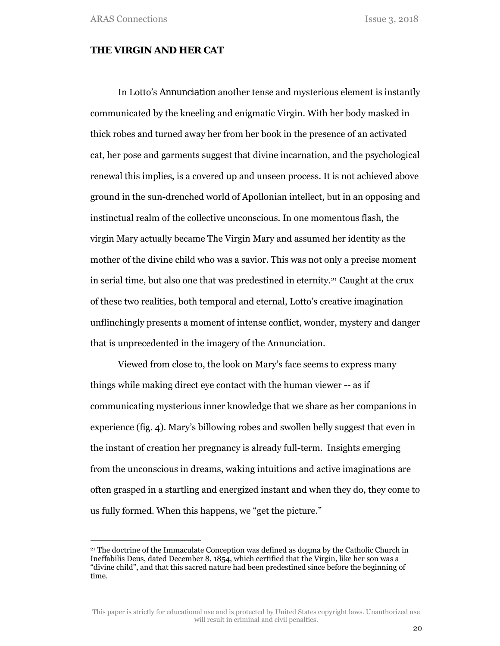#### **THE VIRGIN AND HER CAT**

In Lotto's *Annunciation* another tense and mysterious element is instantly communicated by the kneeling and enigmatic Virgin. With her body masked in thick robes and turned away her from her book in the presence of an activated cat, her pose and garments suggest that divine incarnation, and the psychological renewal this implies, is a covered up and unseen process. It is not achieved above ground in the sun-drenched world of Apollonian intellect, but in an opposing and instinctual realm of the collective unconscious. In one momentous flash, the virgin Mary actually became The Virgin Mary and assumed her identity as the mother of the divine child who was a savior. This was not only a precise moment in serial time, but also one that was predestined in eternity.21 Caught at the crux of these two realities, both temporal and eternal, Lotto's creative imagination unflinchingly presents a moment of intense conflict, wonder, mystery and danger that is unprecedented in the imagery of the Annunciation.

Viewed from close to, the look on Mary's face seems to express many things while making direct eye contact with the human viewer -- as if communicating mysterious inner knowledge that we share as her companions in experience (fig. 4). Mary's billowing robes and swollen belly suggest that even in the instant of creation her pregnancy is already full-term. Insights emerging from the unconscious in dreams, waking intuitions and active imaginations are often grasped in a startling and energized instant and when they do, they come to us fully formed. When this happens, we "get the picture."

<sup>21</sup> The doctrine of the Immaculate Conception was defined as dogma by the Catholic Church in Ineffabilis Deus, dated December 8, 1854, which certified that the Virgin, like her son was a "divine child", and that this sacred nature had been predestined since before the beginning of time.

This paper is strictly for educational use and is protected by United States copyright laws. Unauthorized use will result in criminal and civil penalties.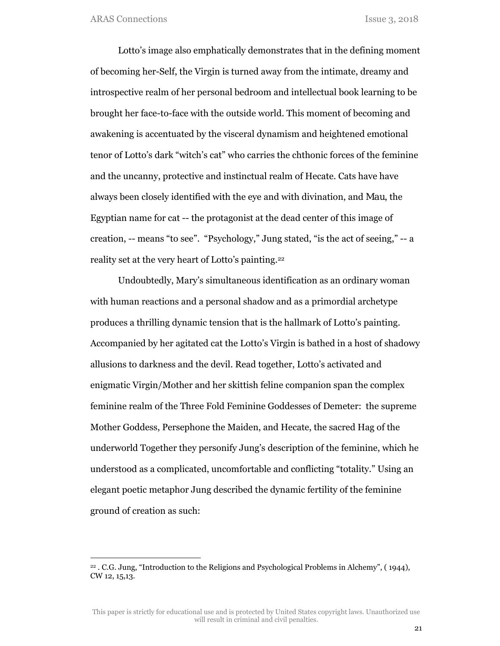Lotto's image also emphatically demonstrates that in the defining moment of becoming her-Self, the Virgin is turned away from the intimate, dreamy and introspective realm of her personal bedroom and intellectual book learning to be brought her face-to-face with the outside world. This moment of becoming and awakening is accentuated by the visceral dynamism and heightened emotional tenor of Lotto's dark "witch's cat" who carries the chthonic forces of the feminine and the uncanny, protective and instinctual realm of Hecate. Cats have have always been closely identified with the eye and with divination, and *Mau*, the Egyptian name for cat -- the protagonist at the dead center of this image of creation, -- means "to see". "Psychology," Jung stated, "is the act of seeing," -- a reality set at the very heart of Lotto's painting.22

Undoubtedly, Mary's simultaneous identification as an ordinary woman with human reactions and a personal shadow and as a primordial archetype produces a thrilling dynamic tension that is the hallmark of Lotto's painting. Accompanied by her agitated cat the Lotto's Virgin is bathed in a host of shadowy allusions to darkness and the devil. Read together, Lotto's activated and enigmatic Virgin/Mother and her skittish feline companion span the complex feminine realm of the Three Fold Feminine Goddesses of Demeter: the supreme Mother Goddess, Persephone the Maiden, and Hecate, the sacred Hag of the underworld Together they personify Jung's description of the feminine, which he understood as a complicated, uncomfortable and conflicting "totality." Using an elegant poetic metaphor Jung described the dynamic fertility of the feminine ground of creation as such:

<sup>22 .</sup> C.G. Jung, "Introduction to the Religions and Psychological Problems in Alchemy", ( 1944), CW 12, 15,13.

This paper is strictly for educational use and is protected by United States copyright laws. Unauthorized use will result in criminal and civil penalties.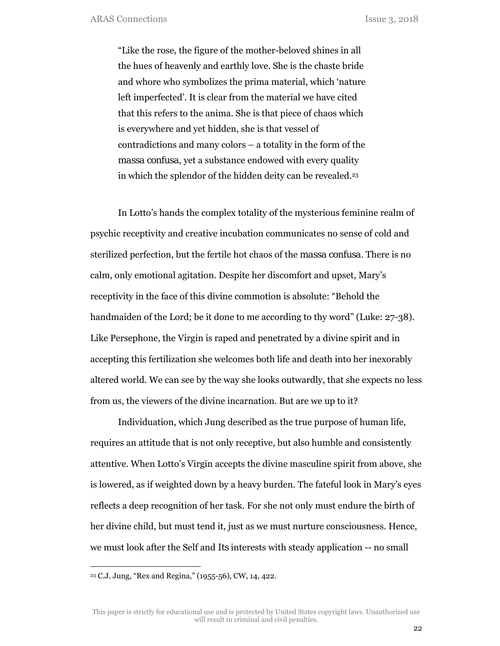"Like the rose, the figure of the mother-beloved shines in all the hues of heavenly and earthly love. She is the chaste bride and whore who symbolizes the prima material, which 'nature left imperfected'. It is clear from the material we have cited that this refers to the anima. She is that piece of chaos which is everywhere and yet hidden, she is that vessel of contradictions and many colors – a totality in the form of the *massa confusa*, yet a substance endowed with every quality in which the splendor of the hidden deity can be revealed.23

In Lotto's hands the complex totality of the mysterious feminine realm of psychic receptivity and creative incubation communicates no sense of cold and sterilized perfection, but the fertile hot chaos of the *massa confusa.* There is no calm, only emotional agitation. Despite her discomfort and upset, Mary's receptivity in the face of this divine commotion is absolute: "Behold the handmaiden of the Lord; be it done to me according to thy word" (Luke: 27-38). Like Persephone, the Virgin is raped and penetrated by a divine spirit and in accepting this fertilization she welcomes both life and death into her inexorably altered world. We can see by the way she looks outwardly, that she expects no less from us, the viewers of the divine incarnation. But are we up to it?

Individuation, which Jung described as the true purpose of human life, requires an attitude that is not only receptive, but also humble and consistently attentive. When Lotto's Virgin accepts the divine masculine spirit from above, she is lowered, as if weighted down by a heavy burden. The fateful look in Mary's eyes reflects a deep recognition of her task. For she not only must endure the birth of her divine child, but must tend it, just as we must nurture consciousness. Hence, we must look after the Self and *Its* interests with steady application -- no small

<sup>23</sup> C.J. Jung, "Rex and Regina," (1955-56), CW, 14, 422.

This paper is strictly for educational use and is protected by United States copyright laws. Unauthorized use will result in criminal and civil penalties.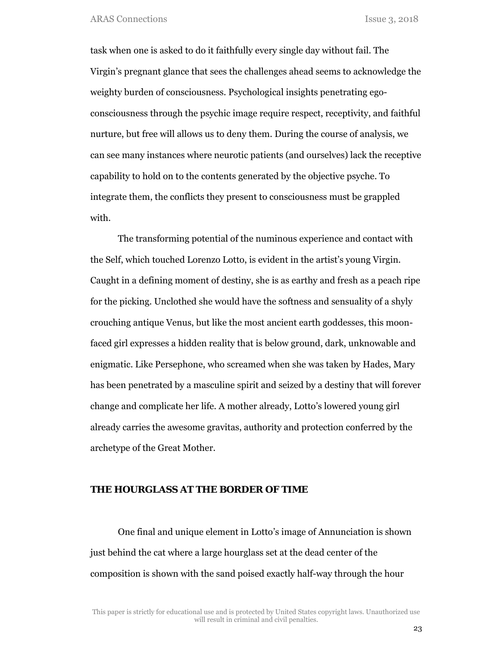task when one is asked to do it faithfully every single day without fail. The Virgin's pregnant glance that sees the challenges ahead seems to acknowledge the weighty burden of consciousness. Psychological insights penetrating egoconsciousness through the psychic image require respect, receptivity, and faithful nurture, but free will allows us to deny them. During the course of analysis, we can see many instances where neurotic patients (and ourselves) lack the receptive capability to hold on to the contents generated by the objective psyche. To integrate them, the conflicts they present to consciousness must be grappled with.

The transforming potential of the numinous experience and contact with the Self, which touched Lorenzo Lotto, is evident in the artist's young Virgin. Caught in a defining moment of destiny, she is as earthy and fresh as a peach ripe for the picking. Unclothed she would have the softness and sensuality of a shyly crouching antique Venus, but like the most ancient earth goddesses, this moonfaced girl expresses a hidden reality that is below ground, dark, unknowable and enigmatic. Like Persephone, who screamed when she was taken by Hades, Mary has been penetrated by a masculine spirit and seized by a destiny that will forever change and complicate her life. A mother already, Lotto's lowered young girl already carries the awesome gravitas, authority and protection conferred by the archetype of the Great Mother.

### **THE HOURGLASS AT THE BORDER OF TIME**

One final and unique element in Lotto's image of Annunciation is shown just behind the cat where a large hourglass set at the dead center of the composition is shown with the sand poised exactly half-way through the hour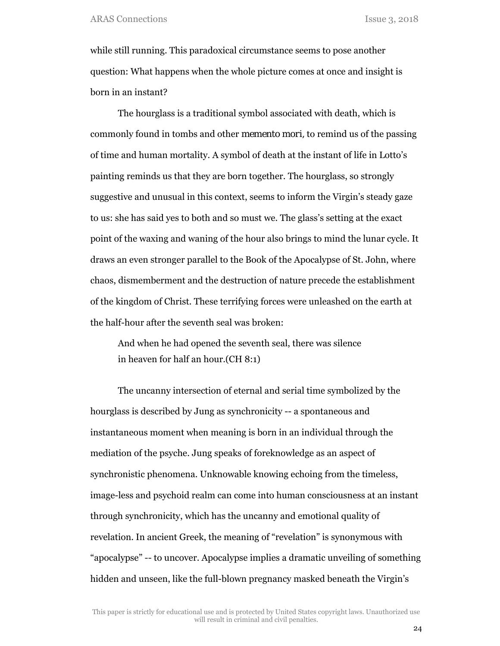while still running. This paradoxical circumstance seems to pose another question: What happens when the whole picture comes at once and insight is born in an instant?

The hourglass is a traditional symbol associated with death, which is commonly found in tombs and other *memento mori,* to remind us of the passing of time and human mortality. A symbol of death at the instant of life in Lotto's painting reminds us that they are born together. The hourglass, so strongly suggestive and unusual in this context, seems to inform the Virgin's steady gaze to us: she has said yes to both and so must we. The glass's setting at the exact point of the waxing and waning of the hour also brings to mind the lunar cycle. It draws an even stronger parallel to the Book of the Apocalypse of St. John, where chaos, dismemberment and the destruction of nature precede the establishment of the kingdom of Christ. These terrifying forces were unleashed on the earth at the half-hour after the seventh seal was broken:

And when he had opened the seventh seal, there was silence in heaven for half an hour.(CH 8:1)

The uncanny intersection of eternal and serial time symbolized by the hourglass is described by Jung as synchronicity -- a spontaneous and instantaneous moment when meaning is born in an individual through the mediation of the psyche. Jung speaks of foreknowledge as an aspect of synchronistic phenomena. Unknowable knowing echoing from the timeless, image-less and psychoid realm can come into human consciousness at an instant through synchronicity, which has the uncanny and emotional quality of revelation. In ancient Greek, the meaning of "revelation" is synonymous with "apocalypse" -- to uncover. Apocalypse implies a dramatic unveiling of something hidden and unseen, like the full-blown pregnancy masked beneath the Virgin's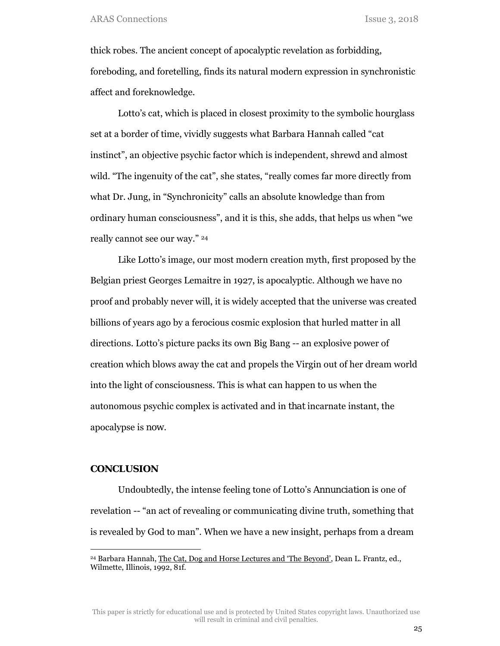thick robes. The ancient concept of apocalyptic revelation as forbidding, foreboding, and foretelling, finds its natural modern expression in synchronistic affect and foreknowledge.

Lotto's cat, which is placed in closest proximity to the symbolic hourglass set at a border of time, vividly suggests what Barbara Hannah called "cat instinct", an objective psychic factor which is independent, shrewd and almost wild. "The ingenuity of the cat", she states, "really comes far more directly from what Dr. Jung, in "Synchronicity" calls an absolute knowledge than from ordinary human consciousness", and it is this, she adds, that helps us when "we really cannot see our way." 24

Like Lotto's image, our most modern creation myth, first proposed by the Belgian priest Georges Lemaitre in 1927, is apocalyptic. Although we have no proof and probably never will, it is widely accepted that the universe was created billions of years ago by a ferocious cosmic explosion that hurled matter in all directions. Lotto's picture packs its own Big Bang -- an explosive power of creation which blows away the cat and propels the Virgin out of her dream world into the light of consciousness. This is what can happen to us when the autonomous psychic complex is activated and in *that* incarnate instant, the apocalypse is *now*.

## **CONCLUSION**

Undoubtedly, the intense feeling tone of Lotto's *Annunciation* is one of revelation -- "an act of revealing or communicating divine truth, something that is revealed by God to man". When we have a new insight, perhaps from a dream

This paper is strictly for educational use and is protected by United States copyright laws. Unauthorized use will result in criminal and civil penalties.

<sup>24</sup> Barbara Hannah, The Cat, Dog and Horse Lectures and 'The Beyond', Dean L. Frantz, ed., Wilmette, Illinois, 1992, 81f.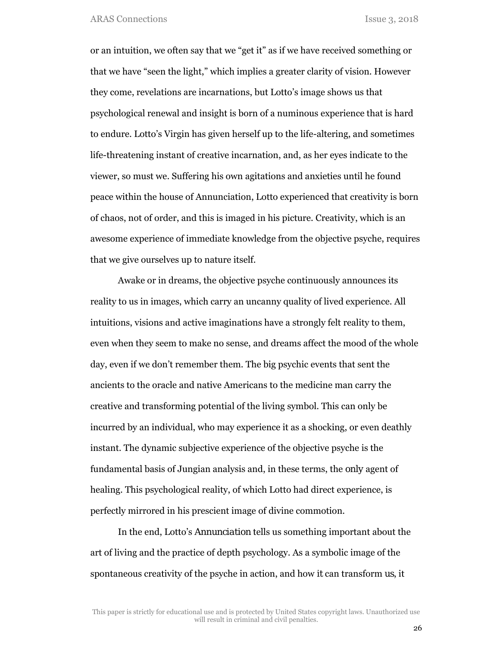or an intuition, we often say that we "get it" as if we have received something or that we have "seen the light," which implies a greater clarity of vision. However they come, revelations are incarnations, but Lotto's image shows us that psychological renewal and insight is born of a numinous experience that is hard to endure. Lotto's Virgin has given herself up to the life-altering, and sometimes life-threatening instant of creative incarnation, and, as her eyes indicate to the viewer, so must we. Suffering his own agitations and anxieties until he found peace within the house of Annunciation, Lotto experienced that creativity is born of chaos, not of order, and this is imaged in his picture. Creativity, which is an awesome experience of immediate knowledge from the objective psyche, requires that we give ourselves up to nature itself.

Awake or in dreams, the objective psyche continuously announces its reality to us in images, which carry an uncanny quality of lived experience. All intuitions, visions and active imaginations have a strongly felt reality to them, even when they seem to make no sense, and dreams affect the mood of the whole day, even if we don't remember them. The big psychic events that sent the ancients to the oracle and native Americans to the medicine man carry the creative and transforming potential of the living symbol. This can only be incurred by an individual, who may experience it as a shocking, or even deathly instant. The dynamic subjective experience of the objective psyche is the fundamental basis of Jungian analysis and, in these terms, the *only* agent of healing. This psychological reality, of which Lotto had direct experience, is perfectly mirrored in his prescient image of divine commotion.

In the end, Lotto's *Annunciation* tells us something important about the art of living and the practice of depth psychology. As a symbolic image of the spontaneous creativity of the psyche in action, and how *it* can transform *us*, it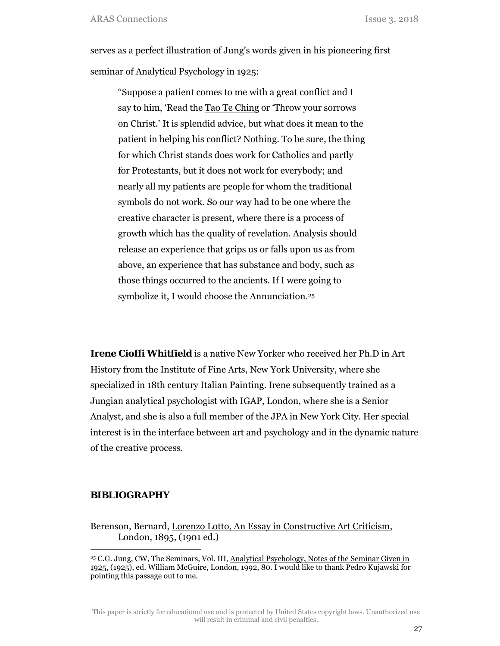serves as a perfect illustration of Jung's words given in his pioneering first seminar of Analytical Psychology in 1925:

"Suppose a patient comes to me with a great conflict and I say to him, 'Read the Tao Te Ching or 'Throw your sorrows on Christ.' It is splendid advice, but what does it mean to the patient in helping his conflict? Nothing. To be sure, the thing for which Christ stands does work for Catholics and partly for Protestants, but it does not work for everybody; and nearly all my patients are people for whom the traditional symbols do not work. So our way had to be one where the creative character is present, where there is a process of growth which has the quality of revelation. Analysis should release an experience that grips us or falls upon us as from above, an experience that has substance and body, such as those things occurred to the ancients. If I were going to symbolize it, I would choose the Annunciation.25

**Irene Cioffi Whitfield** is a native New Yorker who received her Ph.D in Art History from the Institute of Fine Arts, New York University, where she specialized in 18th century Italian Painting. Irene subsequently trained as a Jungian analytical psychologist with IGAP, London, where she is a Senior Analyst, and she is also a full member of the JPA in New York City. Her special interest is in the interface between art and psychology and in the dynamic nature of the creative process.

### **BIBLIOGRAPHY**

Berenson, Bernard, Lorenzo Lotto, An Essay in Constructive Art Criticism, London, 1895, (1901 ed.)

This paper is strictly for educational use and is protected by United States copyright laws. Unauthorized use will result in criminal and civil penalties.

<sup>25</sup> C.G. Jung, CW, The Seminars, Vol. III, Analytical Psychology, Notes of the Seminar Given in 1925, (1925), ed. William McGuire, London, 1992, 80. I would like to thank Pedro Kujawski for pointing this passage out to me.